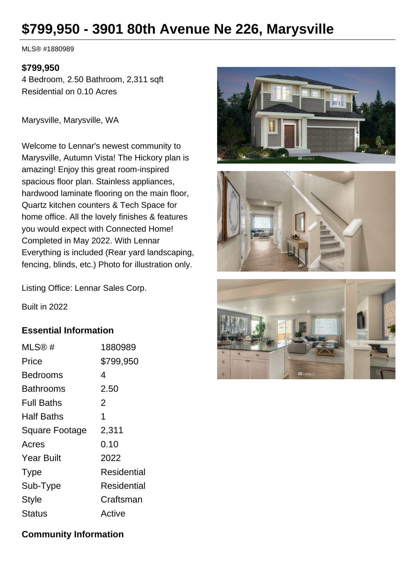# **\$799,950 - 3901 80th Avenue Ne 226, Marysville**

MLS® #1880989

#### **\$799,950**

4 Bedroom, 2.50 Bathroom, 2,311 sqft Residential on 0.10 Acres

Marysville, Marysville, WA

Welcome to Lennar's newest community to Marysville, Autumn Vista! The Hickory plan is amazing! Enjoy this great room-inspired spacious floor plan. Stainless appliances, hardwood laminate flooring on the main floor, Quartz kitchen counters & Tech Space for home office. All the lovely finishes & features you would expect with Connected Home! Completed in May 2022. With Lennar Everything is included (Rear yard landscaping, fencing, blinds, etc.) Photo for illustration only.

Listing Office: Lennar Sales Corp.

Built in 2022

#### **Essential Information**

| MLS@#                 | 1880989     |
|-----------------------|-------------|
| Price                 | \$799,950   |
| Bedrooms              | 4           |
| Bathrooms             | 2.50        |
| <b>Full Baths</b>     | 2           |
| <b>Half Baths</b>     | 1           |
| <b>Square Footage</b> | 2,311       |
| Acres                 | 0.10        |
| <b>Year Built</b>     | 2022        |
| <b>Type</b>           | Residential |
| Sub-Type              | Residential |
| <b>Style</b>          | Craftsman   |
| <b>Status</b>         | Active      |







### **Community Information**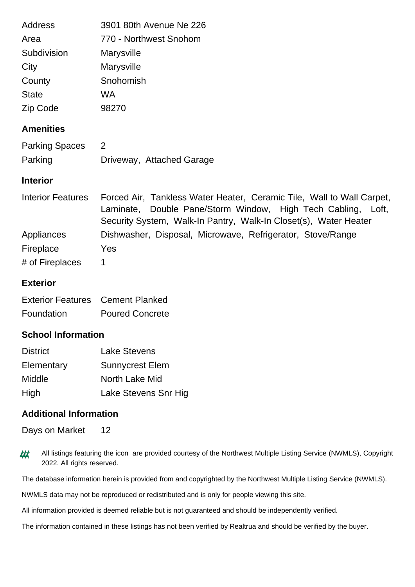| <b>Address</b>                   | 3901 80th Avenue Ne 226                                                                                                                                                                                   |
|----------------------------------|-----------------------------------------------------------------------------------------------------------------------------------------------------------------------------------------------------------|
| Area                             | 770 - Northwest Snohom                                                                                                                                                                                    |
| Subdivision                      | Marysville                                                                                                                                                                                                |
| City                             | Marysville                                                                                                                                                                                                |
| County                           | Snohomish                                                                                                                                                                                                 |
| <b>State</b>                     | <b>WA</b>                                                                                                                                                                                                 |
| Zip Code                         | 98270                                                                                                                                                                                                     |
| <b>Amenities</b>                 |                                                                                                                                                                                                           |
| <b>Parking Spaces</b>            | 2                                                                                                                                                                                                         |
| Parking                          | Driveway, Attached Garage                                                                                                                                                                                 |
| <b>Interior</b>                  |                                                                                                                                                                                                           |
| <b>Interior Features</b>         | Forced Air, Tankless Water Heater, Ceramic Tile, Wall to Wall Carpet,<br>Laminate, Double Pane/Storm Window, High Tech Cabling, Loft,<br>Security System, Walk-In Pantry, Walk-In Closet(s), Water Heater |
| Appliances                       | Dishwasher, Disposal, Microwave, Refrigerator, Stove/Range                                                                                                                                                |
| Fireplace                        | Yes                                                                                                                                                                                                       |
| # of Fireplaces                  | 1                                                                                                                                                                                                         |
| <b>Exterior</b>                  |                                                                                                                                                                                                           |
| Eyteriar Fastures Campat Dlanked |                                                                                                                                                                                                           |

| <b>Exterior Features</b> Cement Planked |                        |
|-----------------------------------------|------------------------|
| Foundation                              | <b>Poured Concrete</b> |

## **School Information**

| <b>District</b> | <b>Lake Stevens</b>    |
|-----------------|------------------------|
| Elementary      | <b>Sunnycrest Elem</b> |
| <b>Middle</b>   | North Lake Mid         |
| High            | Lake Stevens Snr Hig   |

## **Additional Information**

Days on Market 12

All listings featuring the icon are provided courtesy of the Northwest Multiple Listing Service (NWMLS), Copyright 114 2022. All rights reserved.

The database information herein is provided from and copyrighted by the Northwest Multiple Listing Service (NWMLS).

NWMLS data may not be reproduced or redistributed and is only for people viewing this site.

All information provided is deemed reliable but is not guaranteed and should be independently verified.

The information contained in these listings has not been verified by Realtrua and should be verified by the buyer.